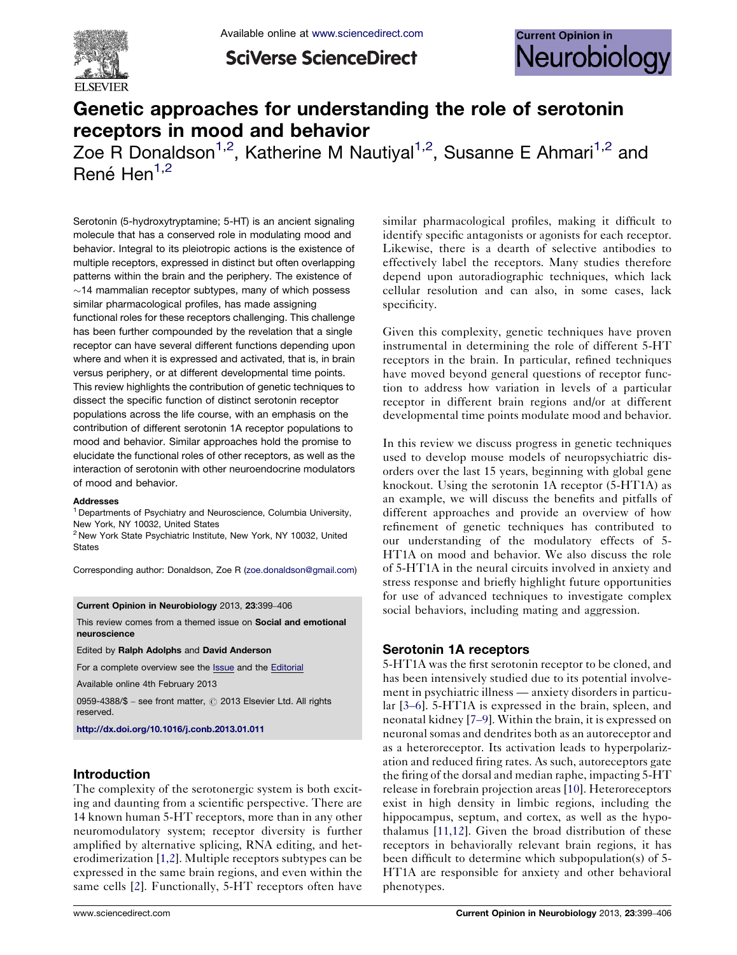

**SciVerse ScienceDirect** 



# Genetic approaches for understanding the role of serotonin receptors in mood and behavior

Zoe R Donaldson<sup>1,2</sup>, Katherine M Nautiyal<sup>1,2</sup>, Susanne E Ahmari<sup>1,2</sup> and  $René Hen<sup>1,2</sup>$ 

Serotonin (5-hydroxytryptamine; 5-HT) is an ancient signaling molecule that has a conserved role in modulating mood and behavior. Integral to its pleiotropic actions is the existence of multiple receptors, expressed in distinct but often overlapping patterns within the brain and the periphery. The existence of  $\sim$ 14 mammalian receptor subtypes, many of which possess similar pharmacological profiles, has made assigning functional roles for these receptors challenging. This challenge has been further compounded by the revelation that a single receptor can have several different functions depending upon where and when it is expressed and activated, that is, in brain versus periphery, or at different developmental time points. This review highlights the contribution of genetic techniques to dissect the specific function of distinct serotonin receptor populations across the life course, with an emphasis on the contribution of different serotonin 1A receptor populations to mood and behavior. Similar approaches hold the promise to elucidate the functional roles of other receptors, as well as the interaction of serotonin with other neuroendocrine modulators of mood and behavior.

#### **Addresses**

<sup>1</sup> Departments of Psychiatry and Neuroscience, Columbia University, New York, NY 10032, United States

<sup>2</sup> New York State Psychiatric Institute, New York, NY 10032, United **States** 

Corresponding author: Donaldson, Zoe R ([zoe.donaldson@gmail.com\)](mailto:zoe.donaldson@gmail.com)

#### Current Opinion in Neurobiology 2013, 23:399–406

This review comes from a themed issue on Social and emotional neuroscience

Edited by Ralph Adolphs and David Anderson

For a complete overview see the [Issue](http://www.sciencedirect.com/science/journal/09594388/23/3) and the [Editorial](http://dx.doi.org/10.1016/j.conb.2013.04.011)

Available online 4th February 2013

0959-4388/\$ - see front matter, @ 2013 Elsevier Ltd. All rights reserved.

<http://dx.doi.org/10.1016/j.conb.2013.01.011>

## Introduction

The complexity of the serotonergic system is both exciting and daunting from a scientific perspective. There are 14 known human 5-HT receptors, more than in any other neuromodulatory system; receptor diversity is further amplified by alternative splicing, RNA editing, and heterodimerization [\[1,2\]](#page-5-0). Multiple receptors subtypes can be expressed in the same brain regions, and even within the same cells [[2\]](#page-5-0). Functionally, 5-HT receptors often have

similar pharmacological profiles, making it difficult to identify specific antagonists or agonists for each receptor. Likewise, there is a dearth of selective antibodies to effectively label the receptors. Many studies therefore depend upon autoradiographic techniques, which lack cellular resolution and can also, in some cases, lack specificity.

Given this complexity, genetic techniques have proven instrumental in determining the role of different 5-HT receptors in the brain. In particular, refined techniques have moved beyond general questions of receptor function to address how variation in levels of a particular receptor in different brain regions and/or at different developmental time points modulate mood and behavior.

In this review we discuss progress in genetic techniques used to develop mouse models of neuropsychiatric disorders over the last 15 years, beginning with global gene knockout. Using the serotonin 1A receptor (5-HT1A) as an example, we will discuss the benefits and pitfalls of different approaches and provide an overview of how refinement of genetic techniques has contributed to our understanding of the modulatory effects of 5- HT1A on mood and behavior. We also discuss the role of 5-HT1A in the neural circuits involved in anxiety and stress response and briefly highlight future opportunities for use of advanced techniques to investigate complex social behaviors, including mating and aggression.

#### Serotonin 1A receptors

5-HT1A was the first serotonin receptor to be cloned, and has been intensively studied due to its potential involvement in psychiatric illness — anxiety disorders in particular [\[3](#page-5-0)–6]. 5-HT1A is expressed in the brain, spleen, and neonatal kidney [7–[9\]](#page-5-0). Within the brain, it is expressed on neuronal somas and dendrites both as an autoreceptor and as a heteroreceptor. Its activation leads to hyperpolarization and reduced firing rates. As such, autoreceptors gate the firing of the dorsal and median raphe, impacting 5-HT release in forebrain projection areas [[10\]](#page-5-0). Heteroreceptors exist in high density in limbic regions, including the hippocampus, septum, and cortex, as well as the hypothalamus [[11,12](#page-5-0)]. Given the broad distribution of these receptors in behaviorally relevant brain regions, it has been difficult to determine which subpopulation(s) of 5- HT1A are responsible for anxiety and other behavioral phenotypes.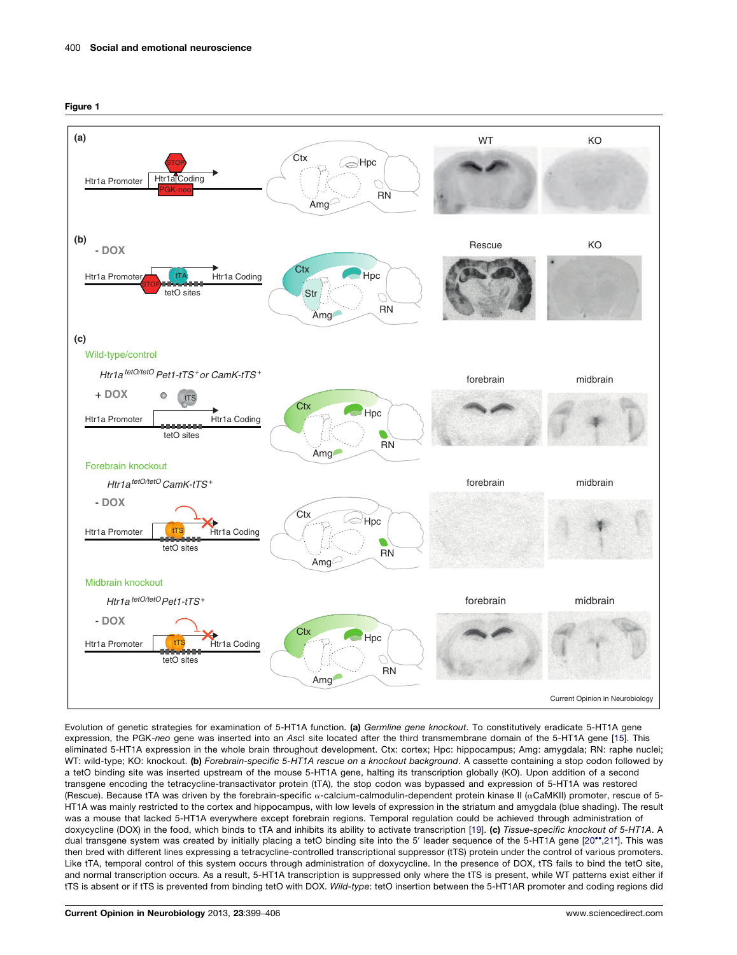<span id="page-1-0"></span>



Evolution of genetic strategies for examination of 5-HT1A function. (a) Germline gene knockout. To constitutively eradicate 5-HT1A gene expression, the PGK-neo gene was inserted into an AscI site located after the third transmembrane domain of the 5-HT1A gene [[15](#page-5-0)]. This eliminated 5-HT1A expression in the whole brain throughout development. Ctx: cortex; Hpc: hippocampus; Amg: amygdala; RN: raphe nuclei; WT: wild-type; KO: knockout. (b) Forebrain-specific 5-HT1A rescue on a knockout background. A cassette containing a stop codon followed by a tetO binding site was inserted upstream of the mouse 5-HT1A gene, halting its transcription globally (KO). Upon addition of a second transgene encoding the tetracycline-transactivator protein (tTA), the stop codon was bypassed and expression of 5-HT1A was restored (Rescue). Because tTA was driven by the forebrain-specific  $\alpha$ -calcium-calmodulin-dependent protein kinase II ( $\alpha$ CaMKII) promoter, rescue of 5-HT1A was mainly restricted to the cortex and hippocampus, with low levels of expression in the striatum and amygdala (blue shading). The result was a mouse that lacked 5-HT1A everywhere except forebrain regions. Temporal regulation could be achieved through administration of doxycycline (DOX) in the food, which binds to tTA and inhibits its ability to activate transcription [[19](#page-5-0)]. (c) Tissue-specific knockout of 5-HT1A. A dual transgene system was created by initially placing a tetO binding site into the 5' leader sequence of the 5-HT1A gene [\[20](#page-5-0)\*\*[,21](#page-5-0)\*]. This was then bred with different lines expressing a tetracycline-controlled transcriptional suppressor (tTS) protein under the control of various promoters. Like tTA, temporal control of this system occurs through administration of doxycycline. In the presence of DOX, tTS fails to bind the tetO site, and normal transcription occurs. As a result, 5-HT1A transcription is suppressed only where the tTS is present, while WT patterns exist either if tTS is absent or if tTS is prevented from binding tetO with DOX. Wild-type: tetO insertion between the 5-HT1AR promoter and coding regions did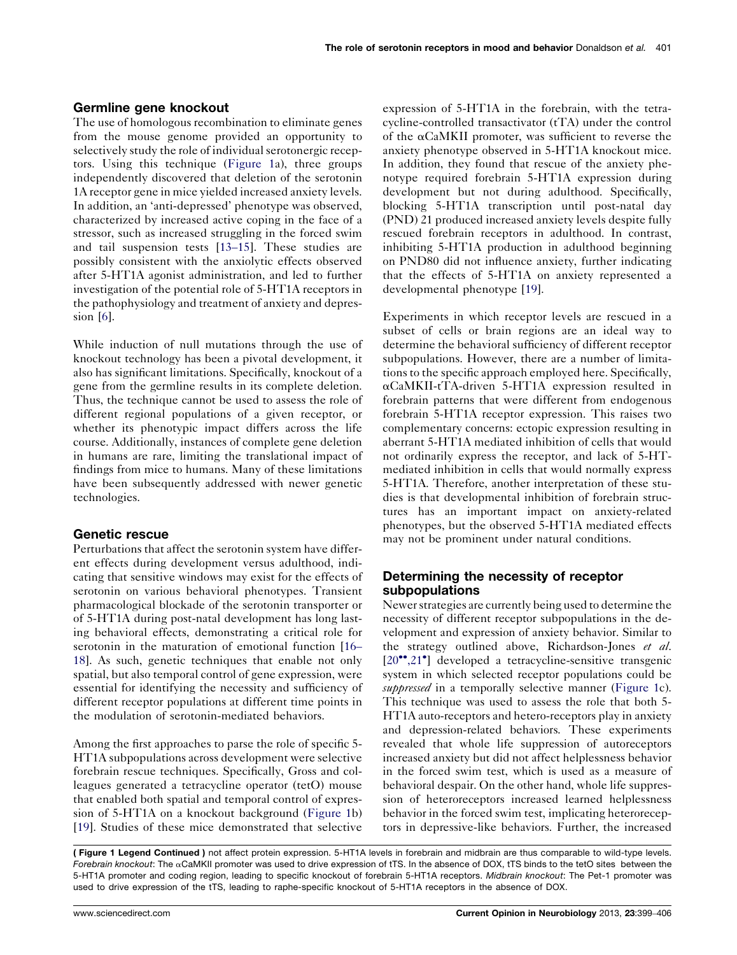# Germline gene knockout

The use of homologous recombination to eliminate genes from the mouse genome provided an opportunity to selectively study the role of individual serotonergic receptors. Using this technique [\(Figure](#page-1-0) 1a), three groups independently discovered that deletion of the serotonin 1A receptor gene in mice yielded increased anxiety levels. In addition, an 'anti-depressed' phenotype was observed, characterized by increased active coping in the face of a stressor, such as increased struggling in the forced swim and tail suspension tests [13–[15\]](#page-5-0). These studies are possibly consistent with the anxiolytic effects observed after 5-HT1A agonist administration, and led to further investigation of the potential role of 5-HT1A receptors in the pathophysiology and treatment of anxiety and depression [[6\]](#page-5-0).

While induction of null mutations through the use of knockout technology has been a pivotal development, it also has significant limitations. Specifically, knockout of a gene from the germline results in its complete deletion. Thus, the technique cannot be used to assess the role of different regional populations of a given receptor, or whether its phenotypic impact differs across the life course. Additionally, instances of complete gene deletion in humans are rare, limiting the translational impact of findings from mice to humans. Many of these limitations have been subsequently addressed with newer genetic technologies.

## Genetic rescue

Perturbations that affect the serotonin system have different effects during development versus adulthood, indicating that sensitive windows may exist for the effects of serotonin on various behavioral phenotypes. Transient pharmacological blockade of the serotonin transporter or of 5-HT1A during post-natal development has long lasting behavioral effects, demonstrating a critical role for serotonin in the maturation of emotional function [\[16](#page-5-0)– [18\]](#page-5-0). As such, genetic techniques that enable not only spatial, but also temporal control of gene expression, were essential for identifying the necessity and sufficiency of different receptor populations at different time points in the modulation of serotonin-mediated behaviors.

Among the first approaches to parse the role of specific 5- HT1A subpopulations across development were selective forebrain rescue techniques. Specifically, Gross and colleagues generated a tetracycline operator (tetO) mouse that enabled both spatial and temporal control of expression of 5-HT1A on a knockout background ([Figure](#page-1-0) 1b) [\[19](#page-5-0)]. Studies of these mice demonstrated that selective

expression of 5-HT1A in the forebrain, with the tetracycline-controlled transactivator (tTA) under the control of the  $\alpha$ CaMKII promoter, was sufficient to reverse the anxiety phenotype observed in 5-HT1A knockout mice. In addition, they found that rescue of the anxiety phenotype required forebrain 5-HT1A expression during development but not during adulthood. Specifically, blocking 5-HT1A transcription until post-natal day (PND) 21 produced increased anxiety levels despite fully rescued forebrain receptors in adulthood. In contrast, inhibiting 5-HT1A production in adulthood beginning on PND80 did not influence anxiety, further indicating that the effects of 5-HT1A on anxiety represented a developmental phenotype [[19\]](#page-5-0).

Experiments in which receptor levels are rescued in a subset of cells or brain regions are an ideal way to determine the behavioral sufficiency of different receptor subpopulations. However, there are a number of limitations to the specific approach employed here. Specifically, aCaMKII-tTA-driven 5-HT1A expression resulted in forebrain patterns that were different from endogenous forebrain 5-HT1A receptor expression. This raises two complementary concerns: ectopic expression resulting in aberrant 5-HT1A mediated inhibition of cells that would not ordinarily express the receptor, and lack of 5-HTmediated inhibition in cells that would normally express 5-HT1A. Therefore, another interpretation of these studies is that developmental inhibition of forebrain structures has an important impact on anxiety-related phenotypes, but the observed 5-HT1A mediated effects may not be prominent under natural conditions.

# Determining the necessity of receptor subpopulations

Newer strategies are currently being used to determine the necessity of different receptor subpopulations in the development and expression of anxiety behavior. Similar to the strategy outlined above, Richardson-Jones et al. [\[20](#page-5-0)<sup>••</sup>[,21](#page-5-0)<sup>•</sup>] developed a tetracycline-sensitive transgenic system in which selected receptor populations could be suppressed in a temporally selective manner [\(Figure](#page-1-0) 1c). This technique was used to assess the role that both 5- HT1A auto-receptors and hetero-receptors play in anxiety and depression-related behaviors. These experiments revealed that whole life suppression of autoreceptors increased anxiety but did not affect helplessness behavior in the forced swim test, which is used as a measure of behavioral despair. On the other hand, whole life suppression of heteroreceptors increased learned helplessness behavior in the forced swim test, implicating heteroreceptors in depressive-like behaviors. Further, the increased

<sup>(</sup> Figure 1 Legend Continued ) not affect protein expression. 5-HT1A levels in forebrain and midbrain are thus comparable to wild-type levels. Forebrain knockout: The  $\alpha$ CaMKII promoter was used to drive expression of tTS. In the absence of DOX, tTS binds to the tetO sites between the 5-HT1A promoter and coding region, leading to specific knockout of forebrain 5-HT1A receptors. Midbrain knockout: The Pet-1 promoter was used to drive expression of the tTS, leading to raphe-specific knockout of 5-HT1A receptors in the absence of DOX.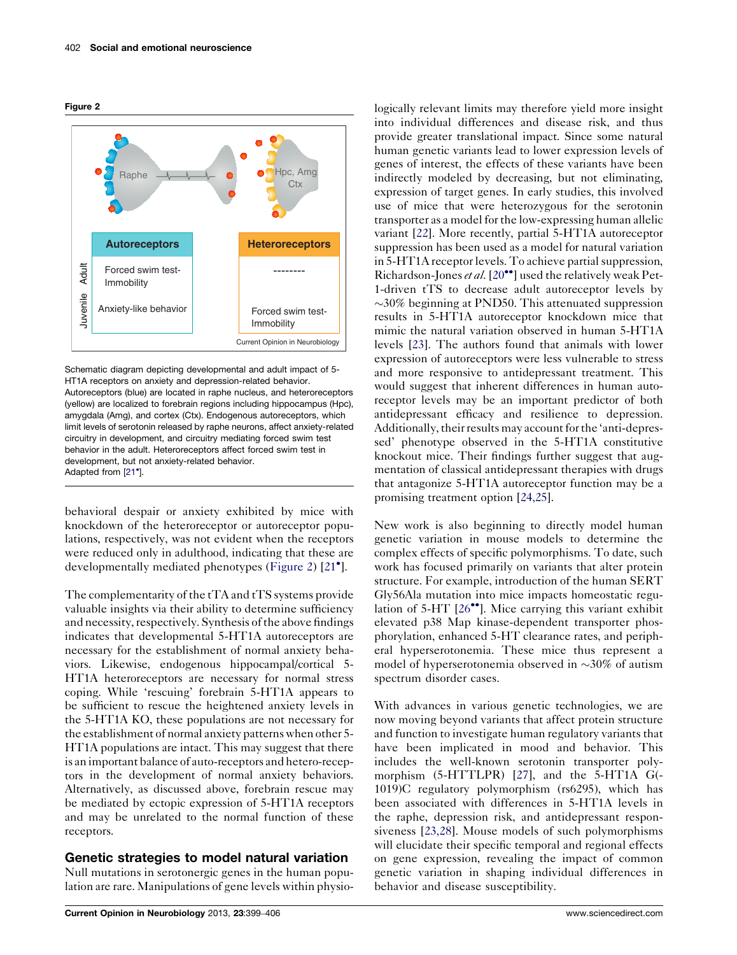



Schematic diagram depicting developmental and adult impact of 5- HT1A receptors on anxiety and depression-related behavior. Autoreceptors (blue) are located in raphe nucleus, and heteroreceptors (yellow) are localized to forebrain regions including hippocampus (Hpc), amygdala (Amg), and cortex (Ctx). Endogenous autoreceptors, which limit levels of serotonin released by raphe neurons, affect anxiety-related circuitry in development, and circuitry mediating forced swim test behavior in the adult. Heteroreceptors affect forced swim test in development, but not anxiety-related behavior. Adapted from [[21](#page-5-0)<sup>\*</sup>].

behavioral despair or anxiety exhibited by mice with knockdown of the heteroreceptor or autoreceptor populations, respectively, was not evident when the receptors were reduced only in adulthood, indicating that these are developmentally mediated phenotypes (Figure 2) [[21](#page-5-0)<sup>°</sup>].

The complementarity of the tTA and tTS systems provide valuable insights via their ability to determine sufficiency and necessity, respectively. Synthesis of the above findings indicates that developmental 5-HT1A autoreceptors are necessary for the establishment of normal anxiety behaviors. Likewise, endogenous hippocampal/cortical 5- HT1A heteroreceptors are necessary for normal stress coping. While 'rescuing' forebrain 5-HT1A appears to be sufficient to rescue the heightened anxiety levels in the 5-HT1A KO, these populations are not necessary for the establishment of normal anxiety patterns when other 5- HT1A populations are intact. This may suggest that there is an important balance of auto-receptors and hetero-receptors in the development of normal anxiety behaviors. Alternatively, as discussed above, forebrain rescue may be mediated by ectopic expression of 5-HT1A receptors and may be unrelated to the normal function of these receptors.

## Genetic strategies to model natural variation

Null mutations in serotonergic genes in the human population are rare. Manipulations of gene levels within physiologically relevant limits may therefore yield more insight into individual differences and disease risk, and thus provide greater translational impact. Since some natural human genetic variants lead to lower expression levels of genes of interest, the effects of these variants have been indirectly modeled by decreasing, but not eliminating, expression of target genes. In early studies, this involved use of mice that were heterozygous for the serotonin transporter as a model for the low-expressing human allelic variant [\[22\]](#page-5-0). More recently, partial 5-HT1A autoreceptor suppression has been used as a model for natural variation in 5-HT1A receptor levels. To achieve partial suppression, Richardson-Jones et al.  $[20^{\bullet\bullet}]$  $[20^{\bullet\bullet}]$  used the relatively weak Pet-1-driven tTS to decrease adult autoreceptor levels by  $\sim$ 30% beginning at PND50. This attenuated suppression results in 5-HT1A autoreceptor knockdown mice that mimic the natural variation observed in human 5-HT1A levels [[23\]](#page-6-0). The authors found that animals with lower expression of autoreceptors were less vulnerable to stress and more responsive to antidepressant treatment. This would suggest that inherent differences in human autoreceptor levels may be an important predictor of both antidepressant efficacy and resilience to depression. Additionally, their results may account for the 'anti-depressed' phenotype observed in the 5-HT1A constitutive knockout mice. Their findings further suggest that augmentation of classical antidepressant therapies with drugs that antagonize 5-HT1A autoreceptor function may be a promising treatment option [[24,25\]](#page-6-0).

New work is also beginning to directly model human genetic variation in mouse models to determine the complex effects of specific polymorphisms. To date, such work has focused primarily on variants that alter protein structure. For example, introduction of the human SERT Gly56Ala mutation into mice impacts homeostatic regulation of 5-HT  $[26\text{°}]$  $[26\text{°}]$ . Mice carrying this variant exhibit elevated p38 Map kinase-dependent transporter phosphorylation, enhanced 5-HT clearance rates, and peripheral hyperserotonemia. These mice thus represent a model of hyperserotonemia observed in  $\sim$ 30% of autism spectrum disorder cases.

With advances in various genetic technologies, we are now moving beyond variants that affect protein structure and function to investigate human regulatory variants that have been implicated in mood and behavior. This includes the well-known serotonin transporter polymorphism (5-HTTLPR) [[27](#page-6-0)], and the 5-HT1A G(- 1019)C regulatory polymorphism (rs6295), which has been associated with differences in 5-HT1A levels in the raphe, depression risk, and antidepressant responsiveness [[23,28](#page-6-0)]. Mouse models of such polymorphisms will elucidate their specific temporal and regional effects on gene expression, revealing the impact of common genetic variation in shaping individual differences in behavior and disease susceptibility.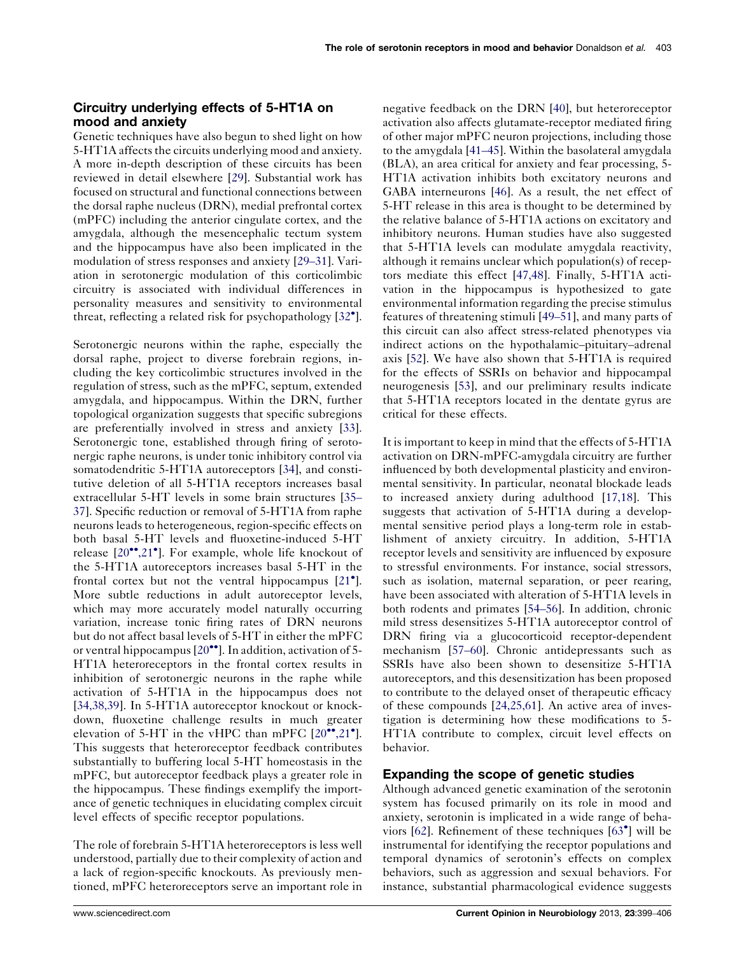# Circuitry underlying effects of 5-HT1A on mood and anxiety

Genetic techniques have also begun to shed light on how 5-HT1A affects the circuits underlying mood and anxiety. A more in-depth description of these circuits has been reviewed in detail elsewhere [[29\]](#page-6-0). Substantial work has focused on structural and functional connections between the dorsal raphe nucleus (DRN), medial prefrontal cortex (mPFC) including the anterior cingulate cortex, and the amygdala, although the mesencephalic tectum system and the hippocampus have also been implicated in the modulation of stress responses and anxiety [\[29](#page-6-0)–31]. Variation in serotonergic modulation of this corticolimbic circuitry is associated with individual differences in personality measures and sensitivity to environmental threat, reflecting a related risk for psychopathology [[32](#page-6-0) ].

Serotonergic neurons within the raphe, especially the dorsal raphe, project to diverse forebrain regions, including the key corticolimbic structures involved in the regulation of stress, such as the mPFC, septum, extended amygdala, and hippocampus. Within the DRN, further topological organization suggests that specific subregions are preferentially involved in stress and anxiety [\[33](#page-6-0)]. Serotonergic tone, established through firing of serotonergic raphe neurons, is under tonic inhibitory control via somatodendritic 5-HT1A autoreceptors [\[34](#page-6-0)], and constitutive deletion of all 5-HT1A receptors increases basal extracellular 5-HT levels in some brain structures [\[35](#page-6-0)– [37\]](#page-6-0). Specific reduction or removal of 5-HT1A from raphe neurons leads to heterogeneous, region-specific effects on both basal 5-HT levels and fluoxetine-induced 5-HT release [[20](#page-5-0)<sup>••</sup>[,21](#page-5-0)<sup>•</sup>]. For example, whole life knockout of the 5-HT1A autoreceptors increases basal 5-HT in the frontal cortex but not the ventral hippocampus [[21](#page-5-0)<sup>°</sup>]. More subtle reductions in adult autoreceptor levels, which may more accurately model naturally occurring variation, increase tonic firing rates of DRN neurons but do not affect basal levels of 5-HT in either the mPFC or ventral hippocampus  $[20\text{''}]$  $[20\text{''}]$ . In addition, activation of 5-HT1A heteroreceptors in the frontal cortex results in inhibition of serotonergic neurons in the raphe while activation of 5-HT1A in the hippocampus does not [\[34,38,39](#page-6-0)]. In 5-HT1A autoreceptor knockout or knockdown, fluoxetine challenge results in much greater elevation of 5-HT in the vHPC than mPFC  $[20\degree, 21\degree]$  $[20\degree, 21\degree]$  $[20\degree, 21\degree]$ . This suggests that heteroreceptor feedback contributes substantially to buffering local 5-HT homeostasis in the mPFC, but autoreceptor feedback plays a greater role in the hippocampus. These findings exemplify the importance of genetic techniques in elucidating complex circuit level effects of specific receptor populations.

The role of forebrain 5-HT1A heteroreceptors is less well understood, partially due to their complexity of action and a lack of region-specific knockouts. As previously mentioned, mPFC heteroreceptors serve an important role in

negative feedback on the DRN [[40\]](#page-6-0), but heteroreceptor activation also affects glutamate-receptor mediated firing of other major mPFC neuron projections, including those to the amygdala [\[41](#page-6-0)–45]. Within the basolateral amygdala (BLA), an area critical for anxiety and fear processing, 5- HT1A activation inhibits both excitatory neurons and GABA interneurons [\[46](#page-6-0)]. As a result, the net effect of 5-HT release in this area is thought to be determined by the relative balance of 5-HT1A actions on excitatory and inhibitory neurons. Human studies have also suggested that 5-HT1A levels can modulate amygdala reactivity, although it remains unclear which population(s) of receptors mediate this effect [[47,48\]](#page-6-0). Finally, 5-HT1A activation in the hippocampus is hypothesized to gate environmental information regarding the precise stimulus features of threatening stimuli [49–[51\]](#page-6-0), and many parts of this circuit can also affect stress-related phenotypes via indirect actions on the hypothalamic–pituitary–adrenal axis [\[52](#page-6-0)]. We have also shown that 5-HT1A is required for the effects of SSRIs on behavior and hippocampal neurogenesis [\[53](#page-6-0)], and our preliminary results indicate that 5-HT1A receptors located in the dentate gyrus are critical for these effects.

It is important to keep in mind that the effects of 5-HT1A activation on DRN-mPFC-amygdala circuitry are further influenced by both developmental plasticity and environmental sensitivity. In particular, neonatal blockade leads to increased anxiety during adulthood [[17,18](#page-5-0)]. This suggests that activation of 5-HT1A during a developmental sensitive period plays a long-term role in establishment of anxiety circuitry. In addition, 5-HT1A receptor levels and sensitivity are influenced by exposure to stressful environments. For instance, social stressors, such as isolation, maternal separation, or peer rearing, have been associated with alteration of 5-HT1A levels in both rodents and primates [54–[56\]](#page-6-0). In addition, chronic mild stress desensitizes 5-HT1A autoreceptor control of DRN firing via a glucocorticoid receptor-dependent mechanism [57–[60\]](#page-6-0). Chronic antidepressants such as SSRIs have also been shown to desensitize 5-HT1A autoreceptors, and this desensitization has been proposed to contribute to the delayed onset of therapeutic efficacy of these compounds [[24,25,61\]](#page-6-0). An active area of investigation is determining how these modifications to 5- HT1A contribute to complex, circuit level effects on behavior.

#### Expanding the scope of genetic studies

Although advanced genetic examination of the serotonin system has focused primarily on its role in mood and anxiety, serotonin is implicated in a wide range of behaviors [[62\]](#page-7-0). Refinement of these techniques [[63](#page-7-0) ] will be instrumental for identifying the receptor populations and temporal dynamics of serotonin's effects on complex behaviors, such as aggression and sexual behaviors. For instance, substantial pharmacological evidence suggests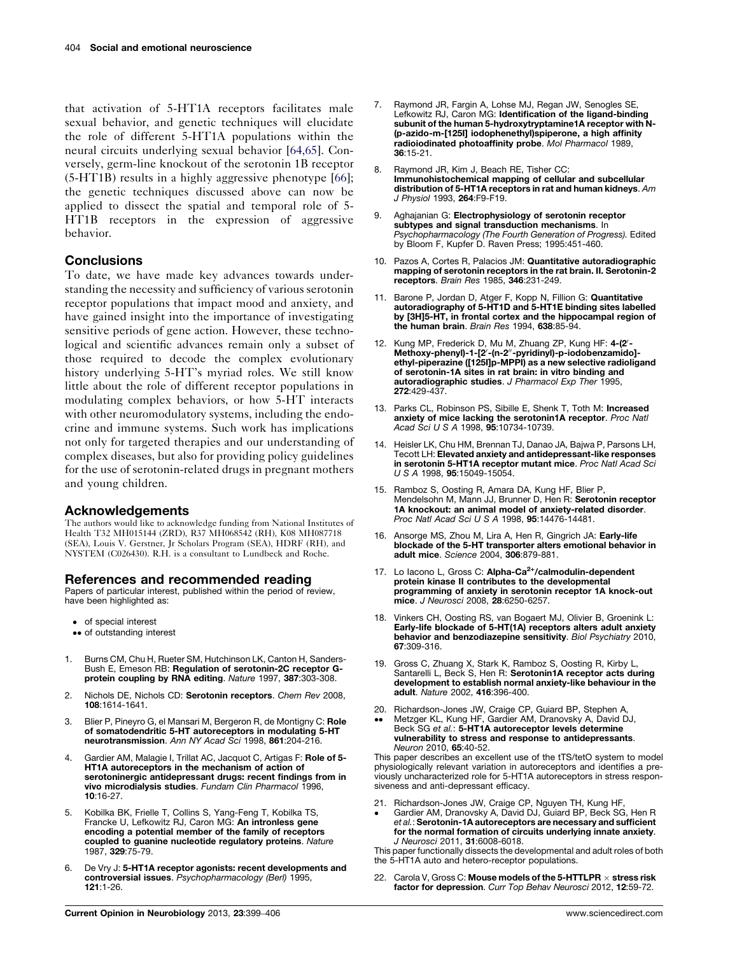<span id="page-5-0"></span>that activation of 5-HT1A receptors facilitates male sexual behavior, and genetic techniques will elucidate the role of different 5-HT1A populations within the neural circuits underlying sexual behavior [\[64,65\]](#page-7-0). Conversely, germ-line knockout of the serotonin 1B receptor (5-HT1B) results in a highly aggressive phenotype [\[66](#page-7-0)]; the genetic techniques discussed above can now be applied to dissect the spatial and temporal role of 5- HT1B receptors in the expression of aggressive behavior.

#### **Conclusions**

To date, we have made key advances towards understanding the necessity and sufficiency of various serotonin receptor populations that impact mood and anxiety, and have gained insight into the importance of investigating sensitive periods of gene action. However, these technological and scientific advances remain only a subset of those required to decode the complex evolutionary history underlying 5-HT's myriad roles. We still know little about the role of different receptor populations in modulating complex behaviors, or how 5-HT interacts with other neuromodulatory systems, including the endocrine and immune systems. Such work has implications not only for targeted therapies and our understanding of complex diseases, but also for providing policy guidelines for the use of serotonin-related drugs in pregnant mothers and young children.

#### Acknowledgements

The authors would like to acknowledge funding from National Institutes of Health T32 MH015144 (ZRD), R37 MH068542 (RH), K08 MH087718 (SEA), Louis V. Gerstner, Jr Scholars Program (SEA), HDRF (RH), and NYSTEM (C026430). R.H. is a consultant to Lundbeck and Roche.

#### References and recommended reading

Papers of particular interest, published within the period of review, have been highlighted as:

- of special interest
- •• of outstanding interest
- 1. Burns CM, Chu H, Rueter SM, Hutchinson LK, Canton H, Sanders-Bush E, Emeson RB: Regulation of serotonin-2C receptor Gprotein coupling by RNA editing. Nature 1997, 387:303-308.
- 2. Nichols DE, Nichols CD: Serotonin receptors. Chem Rev 2008, 108:1614-1641.
- Blier P, Pineyro G, el Mansari M, Bergeron R, de Montigny C: Role of somatodendritic 5-HT autoreceptors in modulating 5-HT neurotransmission. Ann NY Acad Sci 1998, 861:204-216.
- 4. Gardier AM, Malagie I, Trillat AC, Jacquot C, Artigas F: Role of 5- HT1A autoreceptors in the mechanism of action of serotoninergic antidepressant drugs: recent findings from in vivo microdialysis studies. Fundam Clin Pharmacol 1996, 10:16-27.
- 5. Kobilka BK, Frielle T, Collins S, Yang-Feng T, Kobilka TS, Francke U, Lefkowitz RJ, Caron MG: An intronless gene encoding a potential member of the family of receptors coupled to guanine nucleotide regulatory proteins. Nature 1987, 329:75-79.
- 6. De Vry J: 5-HT1A receptor agonists: recent developments and controversial issues. Psychopharmacology (Berl) 1995, 121:1-26.
- Raymond JR, Fargin A, Lohse MJ, Regan JW, Senogles SE, Lefkowitz RJ, Caron MG: Identification of the ligand-binding subunit of the human 5-hydroxytryptamine1A receptor with N- (p-azido-m-[125I] iodophenethyl)spiperone, a high affinity radioiodinated photoaffinity probe. Mol Pharmacol 1989, 36:15-21.
- 8. Raymond JR, Kim J, Beach RE, Tisher CC: Immunohistochemical mapping of cellular and subcellular distribution of 5-HT1A receptors in rat and human kidneys. Am J Physiol 1993, 264:F9-F19.
- 9. Aghajanian G: Electrophysiology of serotonin receptor subtypes and signal transduction mechanisms. In Psychopharmacology (The Fourth Generation of Progress). Edited by Bloom F, Kupfer D. Raven Press; 1995:451-460.
- 10. Pazos A, Cortes R, Palacios JM: Quantitative autoradiographic mapping of serotonin receptors in the rat brain. II. Serotonin-2 receptors. Brain Res 1985, 346:231-249.
- 11. Barone P, Jordan D, Atger F, Kopp N, Fillion G: Quantitative autoradiography of 5-HT1D and 5-HT1E binding sites labelled by [3H]5-HT, in frontal cortex and the hippocampal region of the human brain. Brain Res 1994, 638:85-94.
- 12. Kung MP, Frederick D, Mu M, Zhuang ZP, Kung HF: 4-(2'-Methoxy-phenyl)-1-[2'-(n-2"-pyridinyl)-p-iodobenzamido]ethyl-piperazine ([125I]p-MPPI) as a new selective radioligand of serotonin-1A sites in rat brain: in vitro binding and autoradiographic studies. J Pharmacol Exp Ther 1995, 272:429-437.
- 13. Parks CL, Robinson PS, Sibille E, Shenk T, Toth M: Increased anxiety of mice lacking the serotonin1A receptor. Proc Natl Acad Sci U S A 1998, 95:10734-10739.
- 14. Heisler LK, Chu HM, Brennan TJ, Danao JA, Bajwa P, Parsons LH, Tecott LH: Elevated anxiety and antidepressant-like responses in serotonin 5-HT1A receptor mutant mice. Proc Natl Acad Sci U S A 1998, 95:15049-15054.
- 15. Ramboz S, Oosting R, Amara DA, Kung HF, Blier P, Mendelsohn M, Mann JJ, Brunner D, Hen R: Serotonin receptor 1A knockout: an animal model of anxiety-related disorder. Proc Natl Acad Sci U S A 1998, 95:14476-14481.
- 16. Ansorge MS, Zhou M, Lira A, Hen R, Gingrich JA: Early-life blockade of the 5-HT transporter alters emotional behavior in adult mice. Science 2004, 306:879-881.
- 17. Lo Iacono L, Gross C: Alpha-Ca<sup>2+</sup>/calmodulin-dependent protein kinase II contributes to the developmental programming of anxiety in serotonin receptor 1A knock-out mice. J Neurosci 2008, 28:6250-6257.
- 18. Vinkers CH, Oosting RS, van Bogaert MJ, Olivier B, Groenink L: Early-life blockade of 5-HT(1A) receptors alters adult anxiety behavior and benzodiazepine sensitivity. Biol Psychiatry 2010, 67:309-316.
- 19. Gross C, Zhuang X, Stark K, Ramboz S, Oosting R, Kirby L, Santarelli L, Beck S, Hen R: Serotonin1A receptor acts during development to establish normal anxiety-like behaviour in the adult. Nature 2002, 416:396-400.
- 20. Richardson-Jones JW, Craige CP, Guiard BP, Stephen A,  $\bullet \bullet$ Metzger KL, Kung HF, Gardier AM, Dranovsky A, David DJ,
- Beck SG et al.: 5-HT1A autoreceptor levels determine vulnerability to stress and response to antidepressants. Neuron 2010, 65:40-52.

This paper describes an excellent use of the tTS/tetO system to model physiologically relevant variation in autoreceptors and identifies a previously uncharacterized role for 5-HT1A autoreceptors in stress responsiveness and anti-depressant efficacy.

- 21. Richardson-Jones JW, Craige CP, Nguyen TH, Kung HF,
- $\bullet$ Gardier AM, Dranovsky A, David DJ, Guiard BP, Beck SG, Hen R et al.: Serotonin-1A autoreceptors are necessary and sufficient for the normal formation of circuits underlying innate anxiety. J Neurosci 2011, 31:6008-6018.

This paper functionally dissects the developmental and adult roles of both the 5-HT1A auto and hetero-receptor populations.

22. Carola V, Gross C: Mouse models of the 5-HTTLPR  $\times$  stress risk factor for depression. Curr Top Behav Neurosci 2012, 12:59-72.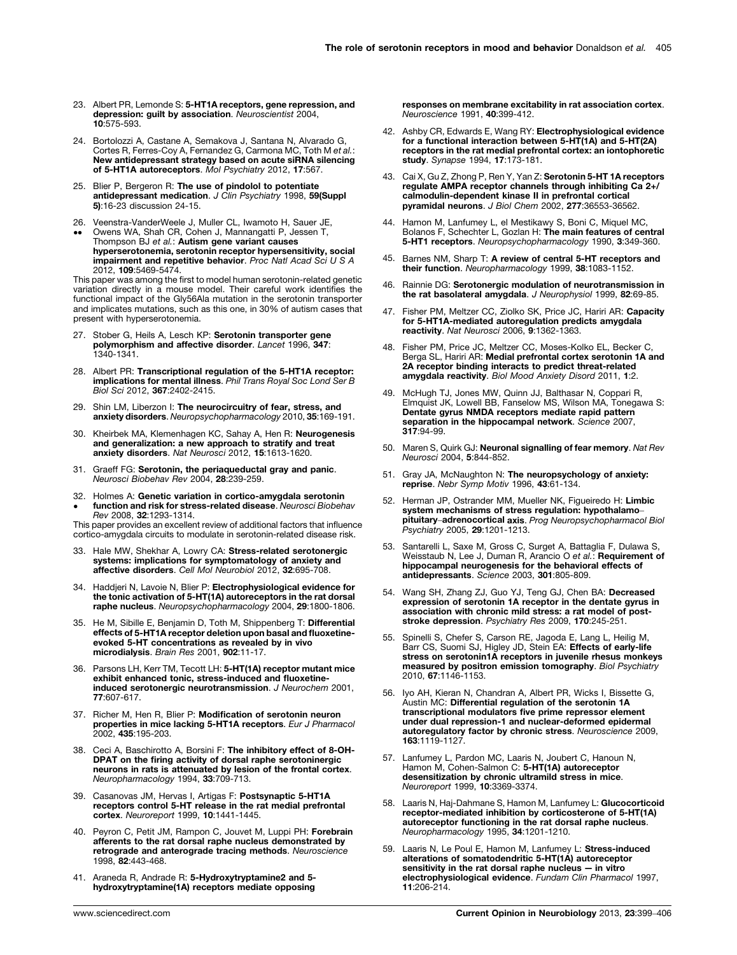- <span id="page-6-0"></span>23. Albert PR, Lemonde S: 5-HT1A receptors, gene repression, and depression: guilt by association. Neuroscientist 2004, 10:575-593.
- 24. Bortolozzi A, Castane A, Semakova J, Santana N, Alvarado G, Cortes R, Ferres-Coy A, Fernandez G, Carmona MC, Toth M et al.: New antidepressant strategy based on acute siRNA silencing of 5-HT1A autoreceptors. Mol Psychiatry 2012, 17:567.
- 25. Blier P, Bergeron R: The use of pindolol to potentiate antidepressant medication. J Clin Psychiatry 1998, 59(Suppl 5):16-23 discussion 24-15.
- 26. Veenstra-VanderWeele J, Muller CL, Iwamoto H, Sauer JE, Owens WA, Shah CR, Cohen J, Mannangatti P, Jessen T,
- $\bullet \bullet$ Thompson BJ et al.: Autism gene variant causes hyperserotonemia, serotonin receptor hypersensitivity, social impairment and repetitive behavior. Proc Natl Acad Sci U S A 2012, 109:5469-5474.

This paper was among the first to model human serotonin-related genetic variation directly in a mouse model. Their careful work identifies the functional impact of the Gly56Ala mutation in the serotonin transporter and implicates mutations, such as this one, in 30% of autism cases that present with hyperserotonemia.

- 27. Stober G, Heils A, Lesch KP: Serotonin transporter gene polymorphism and affective disorder. Lancet 1996, 347: 1340-1341.
- 28. Albert PR: Transcriptional regulation of the 5-HT1A receptor: implications for mental illness. Phil Trans Royal Soc Lond Ser B Biol Sci 2012, 367:2402-2415.
- 29. Shin LM, Liberzon I: The neurocircuitry of fear, stress, and anxiety disorders. Neuropsychopharmacology 2010, 35:169-191.
- 30. Kheirbek MA, Klemenhagen KC, Sahay A, Hen R: Neurogenesis and generalization: a new approach to stratify and treat anxiety disorders. Nat Neurosci 2012, 15:1613-1620.
- 31. Graeff FG: Serotonin, the periaqueductal gray and panic. Neurosci Biobehav Rev 2004, 28:239-259.
- 32.  $\bullet$ Holmes A: Genetic variation in cortico-amygdala serotonin function and risk for stress-related disease. Neurosci Biobehav Rev 2008, 32:1293-1314.

This paper provides an excellent review of additional factors that influence cortico-amygdala circuits to modulate in serotonin-related disease risk.

- 33. Hale MW, Shekhar A, Lowry CA: Stress-related serotonergic systems: implications for symptomatology of anxiety and affective disorders. Cell Mol Neurobiol 2012, 32:695-708.
- 34. Haddjeri N, Lavoie N, Blier P: Electrophysiological evidence for the tonic activation of 5-HT(1A) autoreceptors in the rat dorsal raphe nucleus. Neuropsychopharmacology 2004, 29:1800-1806.
- 35. He M, Sibille E, Benjamin D, Toth M, Shippenberg T: Differential effects of 5-HT1A receptor deletion upon basal and fluoxetineevoked 5-HT concentrations as revealed by in vivo microdialysis. Brain Res 2001, 902:11-17.
- 36. Parsons LH, Kerr TM, Tecott LH: 5-HT(1A) receptor mutant mice exhibit enhanced tonic, stress-induced and fluoxetineinduced serotonergic neurotransmission. J Neurochem 2001, 77:607-617.
- 37. Richer M, Hen R, Blier P: Modification of serotonin neuron properties in mice lacking 5-HT1A receptors. Eur J Pharmacol 2002, 435:195-203.
- 38. Ceci A, Baschirotto A, Borsini F: The inhibitory effect of 8-OH-DPAT on the firing activity of dorsal raphe serotoninergic neurons in rats is attenuated by lesion of the frontal cortex. Neuropharmacology 1994, 33:709-713.
- 39. Casanovas JM, Hervas I, Artigas F: Postsynaptic 5-HT1A receptors control 5-HT release in the rat medial prefrontal cortex. Neuroreport 1999, 10:1441-1445.
- 40. Peyron C, Petit JM, Rampon C, Jouvet M, Luppi PH: Forebrain afferents to the rat dorsal raphe nucleus demonstrated by retrograde and anterograde tracing methods. Neuroscience 1998, 82:443-468.
- 41. Araneda R, Andrade R: 5-Hydroxytryptamine2 and 5hydroxytryptamine(1A) receptors mediate opposing

responses on membrane excitability in rat association cortex. Neuroscience 1991, 40:399-412.

- 42. Ashby CR, Edwards E, Wang RY: Electrophysiological evidence for a functional interaction between 5-HT(1A) and 5-HT(2A) receptors in the rat medial prefrontal cortex: an iontophoretic study. Synapse 1994, 17:173-181.
- 43. Cai X, Gu Z, Zhong P, Ren Y, Yan Z: Serotonin 5-HT 1A receptors regulate AMPA receptor channels through inhibiting Ca 2+/ calmodulin-dependent kinase II in prefrontal cortical pyramidal neurons. J Biol Chem 2002, 277:36553-36562.
- 44. Hamon M, Lanfumey L, el Mestikawy S, Boni C, Miquel MC, Bolanos F, Schechter L, Gozlan H: The main features of central 5-HT1 receptors. Neuropsychopharmacology 1990, 3:349-360.
- 45. Barnes NM, Sharp T: A review of central 5-HT receptors and their function. Neuropharmacology 1999, 38:1083-1152
- 46. Rainnie DG: Serotonergic modulation of neurotransmission in the rat basolateral amygdala. J Neurophysiol 1999, 82:69-85.
- 47. Fisher PM, Meltzer CC, Ziolko SK, Price JC, Hariri AR: Capacity for 5-HT1A-mediated autoregulation predicts amygdala reactivity. Nat Neurosci 2006, 9:1362-1363.
- 48. Fisher PM, Price JC, Meltzer CC, Moses-Kolko EL, Becker C, Berga SL, Hariri AR: Medial prefrontal cortex serotonin 1A and 2A receptor binding interacts to predict threat-related amygdala reactivity. Biol Mood Anxiety Disord 2011, 1:2.
- 49. McHugh TJ, Jones MW, Quinn JJ, Balthasar N, Coppari R, Elmquist JK, Lowell BB, Fanselow MS, Wilson MA, Tonegawa S: Dentate gyrus NMDA receptors mediate rapid pattern separation in the hippocampal network. Science 2007, 317:94-99.
- 50. Maren S, Quirk GJ: Neuronal signalling of fear memory. Nat Rev Neurosci 2004, 5:844-852.
- 51. Gray JA, McNaughton N: The neuropsychology of anxiety: reprise. Nebr Symp Motiv 1996, 43:61-134.
- 52. Herman JP, Ostrander MM, Mueller NK, Figueiredo H: Limbic system mechanisms of stress regulation: hypothalamo–<br>pituitary–adrenocortical axis. Prog Neuropsychopharmacol Biol Psychiatry 2005, 29:1201-1213.
- 53. Santarelli L, Saxe M, Gross C, Surget A, Battaglia F, Dulawa S, Weisstaub N, Lee J, Duman R, Arancio O et al.: Requirement of hippocampal neurogenesis for the behavioral effects of antidepressants. Science 2003, 301:805-809.
- 54. Wang SH, Zhang ZJ, Guo YJ, Teng GJ, Chen BA: Decreased expression of serotonin 1A receptor in the dentate gyrus in association with chronic mild stress: a rat model of poststroke depression. Psychiatry Res 2009, 170:245-251.
- 55. Spinelli S, Chefer S, Carson RE, Jagoda E, Lang L, Heilig M,<br>Barr CS, Suomi SJ, Higley JD, Stein EA: **Effects of early-life** stress on serotonin1A receptors in juvenile rhesus monkeys measured by positron emission tomography. Biol Psychiatry 2010, 67:1146-1153.
- 56. Iyo AH, Kieran N, Chandran A, Albert PR, Wicks I, Bissette G, Austin MC: Differential regulation of the serotonin 1A transcriptional modulators five prime repressor element under dual repression-1 and nuclear-deformed epidermal autoregulatory factor by chronic stress. Neuroscience 2009, 163:1119-1127.
- 57. Lanfumey L, Pardon MC, Laaris N, Joubert C, Hanoun N, Hamon M, Cohen-Salmon C: 5-HT(1A) autoreceptor desensitization by chronic ultramild stress in mice. Neuroreport 1999, 10:3369-3374.
- 58. Laaris N, Haj-Dahmane S, Hamon M, Lanfumey L: Glucocorticoid receptor-mediated inhibition by corticosterone of 5-HT(1A) autoreceptor functioning in the rat dorsal raphe nucleus. Neuropharmacology 1995, 34:1201-1210.
- 59. Laaris N, Le Poul E, Hamon M, Lanfumey L: Stress-induced alterations of somatodendritic 5-HT(1A) autoreceptor sensitivity in the rat dorsal raphe nucleus — in vitro electrophysiological evidence. Fundam Clin Pharmacol 1997, 11:206-214.